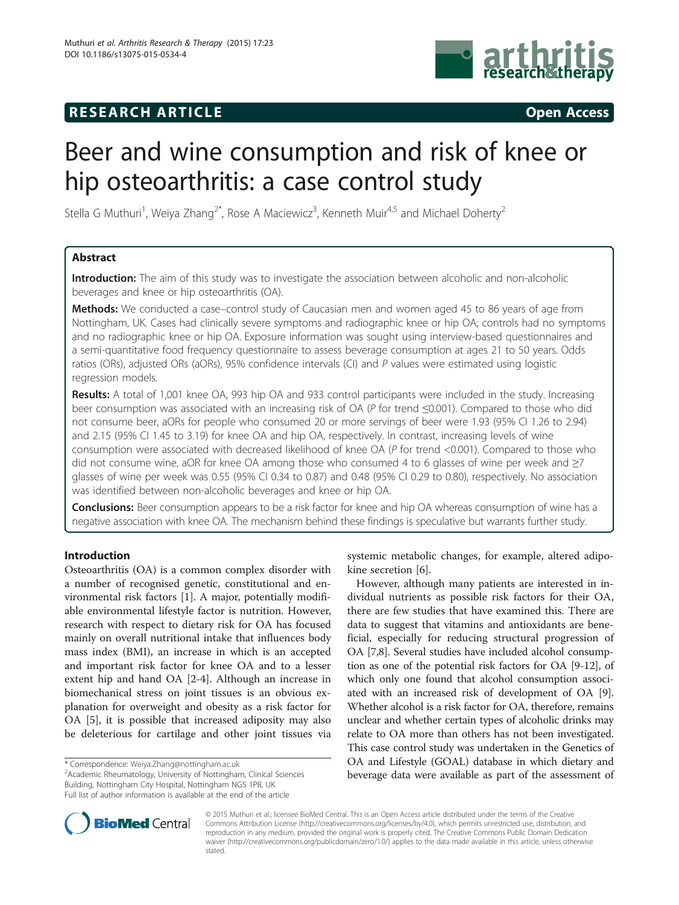# **RESEARCH ARTICLE Example 2014 12:30 The SEAR CH ACCESS**



# Beer and wine consumption and risk of knee or hip osteoarthritis: a case control study

Stella G Muthuri<sup>1</sup>, Weiya Zhang<sup>2\*</sup>, Rose A Maciewicz<sup>3</sup>, Kenneth Muir<sup>4,5</sup> and Michael Doherty<sup>2</sup>

# Abstract

Introduction: The aim of this study was to investigate the association between alcoholic and non-alcoholic beverages and knee or hip osteoarthritis (OA).

Methods: We conducted a case–control study of Caucasian men and women aged 45 to 86 years of age from Nottingham, UK. Cases had clinically severe symptoms and radiographic knee or hip OA; controls had no symptoms and no radiographic knee or hip OA. Exposure information was sought using interview-based questionnaires and a semi-quantitative food frequency questionnaire to assess beverage consumption at ages 21 to 50 years. Odds ratios (ORs), adjusted ORs (aORs), 95% confidence intervals (CI) and P values were estimated using logistic regression models.

Results: A total of 1,001 knee OA, 993 hip OA and 933 control participants were included in the study. Increasing beer consumption was associated with an increasing risk of OA ( $P$  for trend  $\leq$ 0.001). Compared to those who did not consume beer, aORs for people who consumed 20 or more servings of beer were 1.93 (95% CI 1.26 to 2.94) and 2.15 (95% CI 1.45 to 3.19) for knee OA and hip OA, respectively. In contrast, increasing levels of wine consumption were associated with decreased likelihood of knee OA (P for trend <0.001). Compared to those who did not consume wine, aOR for knee OA among those who consumed 4 to 6 glasses of wine per week and ≥7 glasses of wine per week was 0.55 (95% CI 0.34 to 0.87) and 0.48 (95% CI 0.29 to 0.80), respectively. No association was identified between non-alcoholic beverages and knee or hip OA.

**Conclusions:** Beer consumption appears to be a risk factor for knee and hip OA whereas consumption of wine has a negative association with knee OA. The mechanism behind these findings is speculative but warrants further study.

# Introduction

Osteoarthritis (OA) is a common complex disorder with a number of recognised genetic, constitutional and environmental risk factors [[1\]](#page-12-0). A major, potentially modifiable environmental lifestyle factor is nutrition. However, research with respect to dietary risk for OA has focused mainly on overall nutritional intake that influences body mass index (BMI), an increase in which is an accepted and important risk factor for knee OA and to a lesser extent hip and hand OA [\[2](#page-12-0)-[4\]](#page-12-0). Although an increase in biomechanical stress on joint tissues is an obvious explanation for overweight and obesity as a risk factor for OA [[5\]](#page-12-0), it is possible that increased adiposity may also be deleterious for cartilage and other joint tissues via

<sup>2</sup> Academic Rheumatology, University of Nottingham, Clinical Sciences Building, Nottingham City Hospital, Nottingham NG5 1PB, UK Full list of author information is available at the end of the article

systemic metabolic changes, for example, altered adipokine secretion [\[6\]](#page-12-0).

However, although many patients are interested in individual nutrients as possible risk factors for their OA, there are few studies that have examined this. There are data to suggest that vitamins and antioxidants are beneficial, especially for reducing structural progression of OA [\[7,8](#page-12-0)]. Several studies have included alcohol consumption as one of the potential risk factors for OA [\[9-12](#page-12-0)], of which only one found that alcohol consumption associated with an increased risk of development of OA [[9](#page-12-0)]. Whether alcohol is a risk factor for OA, therefore, remains unclear and whether certain types of alcoholic drinks may relate to OA more than others has not been investigated. This case control study was undertaken in the Genetics of OA and Lifestyle (GOAL) database in which dietary and beverage data were available as part of the assessment of



© 2015 Muthuri et al.; licensee BioMed Central. This is an Open Access article distributed under the terms of the Creative Commons Attribution License [\(http://creativecommons.org/licenses/by/4.0\)](http://creativecommons.org/licenses/by/4.0), which permits unrestricted use, distribution, and reproduction in any medium, provided the original work is properly cited. The Creative Commons Public Domain Dedication waiver [\(http://creativecommons.org/publicdomain/zero/1.0/\)](http://creativecommons.org/publicdomain/zero/1.0/) applies to the data made available in this article, unless otherwise stated.

<sup>\*</sup> Correspondence: [Weiya.Zhang@nottingham.ac.uk](mailto:Weiya.Zhang@nottingham.ac.uk) <sup>2</sup>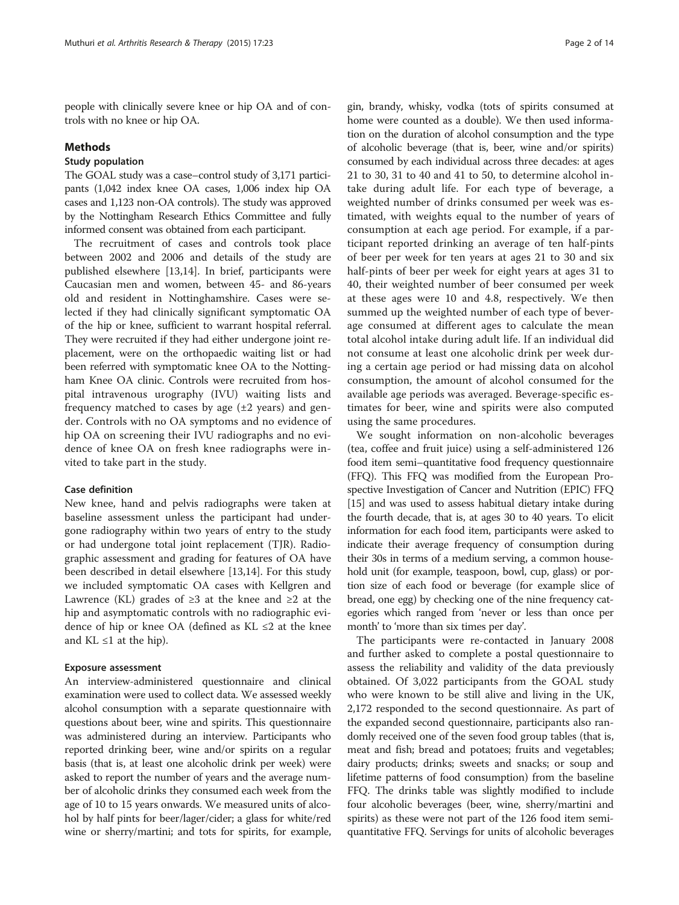people with clinically severe knee or hip OA and of controls with no knee or hip OA.

#### Methods

#### Study population

The GOAL study was a case–control study of 3,171 participants (1,042 index knee OA cases, 1,006 index hip OA cases and 1,123 non-OA controls). The study was approved by the Nottingham Research Ethics Committee and fully informed consent was obtained from each participant.

The recruitment of cases and controls took place between 2002 and 2006 and details of the study are published elsewhere [\[13,14](#page-12-0)]. In brief, participants were Caucasian men and women, between 45- and 86-years old and resident in Nottinghamshire. Cases were selected if they had clinically significant symptomatic OA of the hip or knee, sufficient to warrant hospital referral. They were recruited if they had either undergone joint replacement, were on the orthopaedic waiting list or had been referred with symptomatic knee OA to the Nottingham Knee OA clinic. Controls were recruited from hospital intravenous urography (IVU) waiting lists and frequency matched to cases by age  $(\pm 2 \text{ years})$  and gender. Controls with no OA symptoms and no evidence of hip OA on screening their IVU radiographs and no evidence of knee OA on fresh knee radiographs were invited to take part in the study.

#### Case definition

New knee, hand and pelvis radiographs were taken at baseline assessment unless the participant had undergone radiography within two years of entry to the study or had undergone total joint replacement (TJR). Radiographic assessment and grading for features of OA have been described in detail elsewhere [[13,14](#page-12-0)]. For this study we included symptomatic OA cases with Kellgren and Lawrence (KL) grades of  $≥3$  at the knee and  $≥2$  at the hip and asymptomatic controls with no radiographic evidence of hip or knee OA (defined as  $KL \leq 2$  at the knee and KL  $\leq$ 1 at the hip).

#### Exposure assessment

An interview-administered questionnaire and clinical examination were used to collect data. We assessed weekly alcohol consumption with a separate questionnaire with questions about beer, wine and spirits. This questionnaire was administered during an interview. Participants who reported drinking beer, wine and/or spirits on a regular basis (that is, at least one alcoholic drink per week) were asked to report the number of years and the average number of alcoholic drinks they consumed each week from the age of 10 to 15 years onwards. We measured units of alcohol by half pints for beer/lager/cider; a glass for white/red wine or sherry/martini; and tots for spirits, for example,

gin, brandy, whisky, vodka (tots of spirits consumed at home were counted as a double). We then used information on the duration of alcohol consumption and the type of alcoholic beverage (that is, beer, wine and/or spirits) consumed by each individual across three decades: at ages 21 to 30, 31 to 40 and 41 to 50, to determine alcohol intake during adult life. For each type of beverage, a weighted number of drinks consumed per week was estimated, with weights equal to the number of years of consumption at each age period. For example, if a participant reported drinking an average of ten half-pints of beer per week for ten years at ages 21 to 30 and six half-pints of beer per week for eight years at ages 31 to 40, their weighted number of beer consumed per week at these ages were 10 and 4.8, respectively. We then summed up the weighted number of each type of beverage consumed at different ages to calculate the mean total alcohol intake during adult life. If an individual did not consume at least one alcoholic drink per week during a certain age period or had missing data on alcohol consumption, the amount of alcohol consumed for the available age periods was averaged. Beverage-specific estimates for beer, wine and spirits were also computed using the same procedures.

We sought information on non-alcoholic beverages (tea, coffee and fruit juice) using a self-administered 126 food item semi–quantitative food frequency questionnaire (FFQ). This FFQ was modified from the European Prospective Investigation of Cancer and Nutrition (EPIC) FFQ [[15](#page-12-0)] and was used to assess habitual dietary intake during the fourth decade, that is, at ages 30 to 40 years. To elicit information for each food item, participants were asked to indicate their average frequency of consumption during their 30s in terms of a medium serving, a common household unit (for example, teaspoon, bowl, cup, glass) or portion size of each food or beverage (for example slice of bread, one egg) by checking one of the nine frequency categories which ranged from 'never or less than once per month' to 'more than six times per day'.

The participants were re-contacted in January 2008 and further asked to complete a postal questionnaire to assess the reliability and validity of the data previously obtained. Of 3,022 participants from the GOAL study who were known to be still alive and living in the UK, 2,172 responded to the second questionnaire. As part of the expanded second questionnaire, participants also randomly received one of the seven food group tables (that is, meat and fish; bread and potatoes; fruits and vegetables; dairy products; drinks; sweets and snacks; or soup and lifetime patterns of food consumption) from the baseline FFQ. The drinks table was slightly modified to include four alcoholic beverages (beer, wine, sherry/martini and spirits) as these were not part of the 126 food item semiquantitative FFQ. Servings for units of alcoholic beverages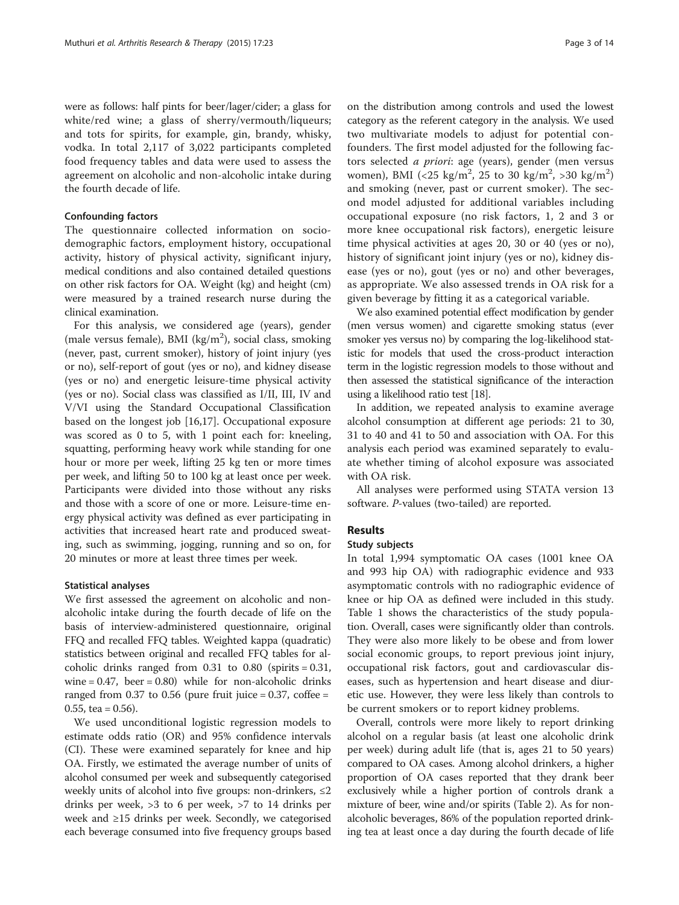were as follows: half pints for beer/lager/cider; a glass for white/red wine; a glass of sherry/vermouth/liqueurs; and tots for spirits, for example, gin, brandy, whisky, vodka. In total 2,117 of 3,022 participants completed food frequency tables and data were used to assess the agreement on alcoholic and non-alcoholic intake during the fourth decade of life.

#### Confounding factors

The questionnaire collected information on sociodemographic factors, employment history, occupational activity, history of physical activity, significant injury, medical conditions and also contained detailed questions on other risk factors for OA. Weight (kg) and height (cm) were measured by a trained research nurse during the clinical examination.

For this analysis, we considered age (years), gender (male versus female), BMI ( $\text{kg/m}^2$ ), social class, smoking (never, past, current smoker), history of joint injury (yes or no), self-report of gout (yes or no), and kidney disease (yes or no) and energetic leisure-time physical activity (yes or no). Social class was classified as I/II, III, IV and V/VI using the Standard Occupational Classification based on the longest job [\[16,17\]](#page-12-0). Occupational exposure was scored as 0 to 5, with 1 point each for: kneeling, squatting, performing heavy work while standing for one hour or more per week, lifting 25 kg ten or more times per week, and lifting 50 to 100 kg at least once per week. Participants were divided into those without any risks and those with a score of one or more. Leisure-time energy physical activity was defined as ever participating in activities that increased heart rate and produced sweating, such as swimming, jogging, running and so on, for 20 minutes or more at least three times per week.

#### Statistical analyses

We first assessed the agreement on alcoholic and nonalcoholic intake during the fourth decade of life on the basis of interview-administered questionnaire, original FFQ and recalled FFQ tables. Weighted kappa (quadratic) statistics between original and recalled FFQ tables for alcoholic drinks ranged from  $0.31$  to  $0.80$  (spirits =  $0.31$ , wine  $= 0.47$ , beer  $= 0.80$ ) while for non-alcoholic drinks ranged from 0.37 to 0.56 (pure fruit juice  $= 0.37$ , coffee  $=$ 0.55, tea =  $0.56$ ).

We used unconditional logistic regression models to estimate odds ratio (OR) and 95% confidence intervals (CI). These were examined separately for knee and hip OA. Firstly, we estimated the average number of units of alcohol consumed per week and subsequently categorised weekly units of alcohol into five groups: non-drinkers,  $\leq 2$ drinks per week, >3 to 6 per week, >7 to 14 drinks per week and ≥15 drinks per week. Secondly, we categorised each beverage consumed into five frequency groups based

on the distribution among controls and used the lowest category as the referent category in the analysis. We used two multivariate models to adjust for potential confounders. The first model adjusted for the following factors selected a priori: age (years), gender (men versus women), BMI (<25 kg/m<sup>2</sup>, 25 to 30 kg/m<sup>2</sup>, >30 kg/m<sup>2</sup>) and smoking (never, past or current smoker). The second model adjusted for additional variables including occupational exposure (no risk factors, 1, 2 and 3 or more knee occupational risk factors), energetic leisure time physical activities at ages 20, 30 or 40 (yes or no), history of significant joint injury (yes or no), kidney disease (yes or no), gout (yes or no) and other beverages, as appropriate. We also assessed trends in OA risk for a given beverage by fitting it as a categorical variable.

We also examined potential effect modification by gender (men versus women) and cigarette smoking status (ever smoker yes versus no) by comparing the log-likelihood statistic for models that used the cross-product interaction term in the logistic regression models to those without and then assessed the statistical significance of the interaction using a likelihood ratio test [\[18\]](#page-12-0).

In addition, we repeated analysis to examine average alcohol consumption at different age periods: 21 to 30, 31 to 40 and 41 to 50 and association with OA. For this analysis each period was examined separately to evaluate whether timing of alcohol exposure was associated with OA risk.

All analyses were performed using STATA version 13 software. P-values (two-tailed) are reported.

# Results

# Study subjects

In total 1,994 symptomatic OA cases (1001 knee OA and 993 hip OA) with radiographic evidence and 933 asymptomatic controls with no radiographic evidence of knee or hip OA as defined were included in this study. Table [1](#page-3-0) shows the characteristics of the study population. Overall, cases were significantly older than controls. They were also more likely to be obese and from lower social economic groups, to report previous joint injury, occupational risk factors, gout and cardiovascular diseases, such as hypertension and heart disease and diuretic use. However, they were less likely than controls to be current smokers or to report kidney problems.

Overall, controls were more likely to report drinking alcohol on a regular basis (at least one alcoholic drink per week) during adult life (that is, ages 21 to 50 years) compared to OA cases. Among alcohol drinkers, a higher proportion of OA cases reported that they drank beer exclusively while a higher portion of controls drank a mixture of beer, wine and/or spirits (Table [2](#page-4-0)). As for nonalcoholic beverages, 86% of the population reported drinking tea at least once a day during the fourth decade of life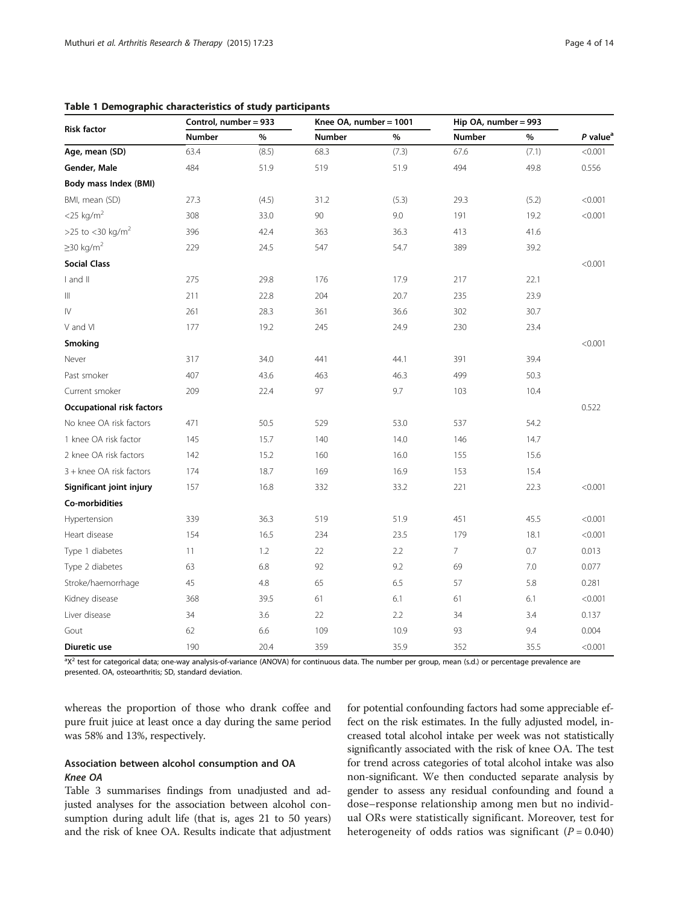| <b>Risk factor</b>           | Control, number = 933 |       | Knee OA, number = 1001 |       | Hip OA, number = 993 |       |                      |
|------------------------------|-----------------------|-------|------------------------|-------|----------------------|-------|----------------------|
|                              | <b>Number</b>         | $\%$  | <b>Number</b>          | $\%$  | <b>Number</b>        | $\%$  | P value <sup>a</sup> |
| Age, mean (SD)               | 63.4                  | (8.5) | 68.3                   | (7.3) | 67.6                 | (7.1) | < 0.001              |
| Gender, Male                 | 484                   | 51.9  | 519                    | 51.9  | 494                  | 49.8  | 0.556                |
| Body mass Index (BMI)        |                       |       |                        |       |                      |       |                      |
| BMI, mean (SD)               | 27.3                  | (4.5) | 31.2                   | (5.3) | 29.3                 | (5.2) | < 0.001              |
| $<$ 25 kg/m <sup>2</sup>     | 308                   | 33.0  | 90                     | 9.0   | 191                  | 19.2  | < 0.001              |
| >25 to <30 kg/m <sup>2</sup> | 396                   | 42.4  | 363                    | 36.3  | 413                  | 41.6  |                      |
| $\geq$ 30 kg/m <sup>2</sup>  | 229                   | 24.5  | 547                    | 54.7  | 389                  | 39.2  |                      |
| <b>Social Class</b>          |                       |       |                        |       |                      |       | < 0.001              |
| I and II                     | 275                   | 29.8  | 176                    | 17.9  | 217                  | 22.1  |                      |
| Ш                            | 211                   | 22.8  | 204                    | 20.7  | 235                  | 23.9  |                      |
| $\mathsf{IV}$                | 261                   | 28.3  | 361                    | 36.6  | 302                  | 30.7  |                      |
| V and VI                     | 177                   | 19.2  | 245                    | 24.9  | 230                  | 23.4  |                      |
| Smoking                      |                       |       |                        |       |                      |       | < 0.001              |
| Never                        | 317                   | 34.0  | 441                    | 44.1  | 391                  | 39.4  |                      |
| Past smoker                  | 407                   | 43.6  | 463                    | 46.3  | 499                  | 50.3  |                      |
| Current smoker               | 209                   | 22.4  | 97                     | 9.7   | 103                  | 10.4  |                      |
| Occupational risk factors    |                       |       |                        |       |                      |       | 0.522                |
| No knee OA risk factors      | 471                   | 50.5  | 529                    | 53.0  | 537                  | 54.2  |                      |
| 1 knee OA risk factor        | 145                   | 15.7  | 140                    | 14.0  | 146                  | 14.7  |                      |
| 2 knee OA risk factors       | 142                   | 15.2  | 160                    | 16.0  | 155                  | 15.6  |                      |
| 3 + knee OA risk factors     | 174                   | 18.7  | 169                    | 16.9  | 153                  | 15.4  |                      |
| Significant joint injury     | 157                   | 16.8  | 332                    | 33.2  | 221                  | 22.3  | < 0.001              |
| Co-morbidities               |                       |       |                        |       |                      |       |                      |
| Hypertension                 | 339                   | 36.3  | 519                    | 51.9  | 451                  | 45.5  | < 0.001              |
| Heart disease                | 154                   | 16.5  | 234                    | 23.5  | 179                  | 18.1  | < 0.001              |
| Type 1 diabetes              | 11                    | 1.2   | 22                     | 2.2   | 7                    | 0.7   | 0.013                |
| Type 2 diabetes              | 63                    | 6.8   | 92                     | 9.2   | 69                   | 7.0   | 0.077                |
| Stroke/haemorrhage           | 45                    | 4.8   | 65                     | 6.5   | 57                   | 5.8   | 0.281                |
| Kidney disease               | 368                   | 39.5  | 61                     | 6.1   | 61                   | 6.1   | < 0.001              |
| Liver disease                | 34                    | 3.6   | 22                     | 2.2   | 34                   | 3.4   | 0.137                |
| Gout                         | 62                    | 6.6   | 109                    | 10.9  | 93                   | 9.4   | 0.004                |
| Diuretic use                 | 190                   | 20.4  | 359                    | 35.9  | 352                  | 35.5  | < 0.001              |

<span id="page-3-0"></span>Table 1 Demographic characteristics of study participants

<sup>a</sup>X<sup>2</sup> test for categorical data; one-way analysis-of-variance (ANOVA) for continuous data. The number per group, mean (s.d.) or percentage prevalence are presented. OA, osteoarthritis; SD, standard deviation.

whereas the proportion of those who drank coffee and pure fruit juice at least once a day during the same period was 58% and 13%, respectively.

# Association between alcohol consumption and OA Knee OA

Table [3](#page-5-0) summarises findings from unadjusted and adjusted analyses for the association between alcohol consumption during adult life (that is, ages 21 to 50 years) and the risk of knee OA. Results indicate that adjustment for potential confounding factors had some appreciable effect on the risk estimates. In the fully adjusted model, increased total alcohol intake per week was not statistically significantly associated with the risk of knee OA. The test for trend across categories of total alcohol intake was also non-significant. We then conducted separate analysis by gender to assess any residual confounding and found a dose–response relationship among men but no individual ORs were statistically significant. Moreover, test for heterogeneity of odds ratios was significant  $(P = 0.040)$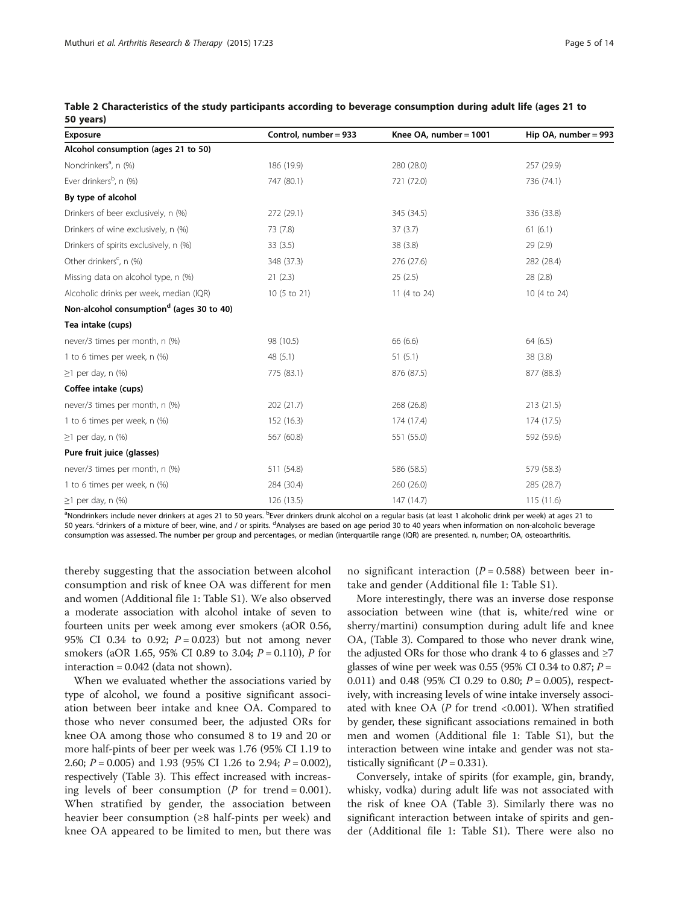| <b>Exposure</b>                                      | Control, number = 933 | Knee OA, number = $1001$ | Hip OA, number = 993 |
|------------------------------------------------------|-----------------------|--------------------------|----------------------|
| Alcohol consumption (ages 21 to 50)                  |                       |                          |                      |
| Nondrinkers <sup>a</sup> , n (%)                     | 186 (19.9)            | 280 (28.0)               | 257 (29.9)           |
| Ever drinkers <sup>b</sup> , n (%)                   | 747 (80.1)            | 721 (72.0)               | 736 (74.1)           |
| By type of alcohol                                   |                       |                          |                      |
| Drinkers of beer exclusively, n (%)                  | 272 (29.1)            | 345 (34.5)               | 336 (33.8)           |
| Drinkers of wine exclusively, n (%)                  | 73 (7.8)              | 37(3.7)                  | 61(6.1)              |
| Drinkers of spirits exclusively, n (%)               | 33(3.5)               | 38 (3.8)                 | 29(2.9)              |
| Other drinkers <sup>c</sup> , n (%)                  | 348 (37.3)            | 276 (27.6)               | 282 (28.4)           |
| Missing data on alcohol type, n (%)                  | 21(2.3)               | 25(2.5)                  | 28 (2.8)             |
| Alcoholic drinks per week, median (IQR)              | 10 (5 to 21)          | 11 (4 to 24)             | 10 (4 to 24)         |
| Non-alcohol consumption <sup>d</sup> (ages 30 to 40) |                       |                          |                      |
| Tea intake (cups)                                    |                       |                          |                      |
| never/3 times per month, n (%)                       | 98 (10.5)             | 66 (6.6)                 | 64(6.5)              |
| 1 to 6 times per week, n (%)                         | 48(5.1)               | 51(5.1)                  | 38(3.8)              |
| $\geq$ 1 per day, n (%)                              | 775 (83.1)            | 876 (87.5)               | 877 (88.3)           |
| Coffee intake (cups)                                 |                       |                          |                      |
| never/3 times per month, n (%)                       | 202 (21.7)            | 268 (26.8)               | 213(21.5)            |
| 1 to 6 times per week, n (%)                         | 152 (16.3)            | 174 (17.4)               | 174 (17.5)           |
| $\geq$ 1 per day, n (%)                              | 567 (60.8)            | 551 (55.0)               | 592 (59.6)           |
| Pure fruit juice (glasses)                           |                       |                          |                      |
| never/3 times per month, n (%)                       | 511 (54.8)            | 586 (58.5)               | 579 (58.3)           |
| 1 to 6 times per week, n (%)                         | 284 (30.4)            | 260(26.0)                | 285 (28.7)           |
| $\geq$ 1 per day, n (%)                              | 126 (13.5)            | 147 (14.7)               | 115(11.6)            |

<span id="page-4-0"></span>

|           | Table 2 Characteristics of the study participants according to beverage consumption during adult life (ages 21 to |  |  |
|-----------|-------------------------------------------------------------------------------------------------------------------|--|--|
| 50 years) |                                                                                                                   |  |  |

<sup>a</sup>Nondrinkers include never drinkers at ages 21 to 50 years. <sup>b</sup>Ever drinkers drunk alcohol on a regular basis (at least 1 alcoholic drink per week) at ages 21 to 50 years. <sup>c</sup>drinkers of a mixture of beer, wine, and / or spirits. <sup>d</sup>Analyses are based on age period 30 to 40 years when information on non-alcoholic beverage consumption was assessed. The number per group and percentages, or median (interquartile range (IQR) are presented. n, number; OA, osteoarthritis.

thereby suggesting that the association between alcohol consumption and risk of knee OA was different for men and women (Additional file [1:](#page-12-0) Table S1). We also observed a moderate association with alcohol intake of seven to fourteen units per week among ever smokers (aOR 0.56, 95% CI 0.34 to 0.92;  $P = 0.023$ ) but not among never smokers (aOR 1.65, 95% CI 0.89 to 3.04;  $P = 0.110$ ), P for interaction = 0.042 (data not shown).

When we evaluated whether the associations varied by type of alcohol, we found a positive significant association between beer intake and knee OA. Compared to those who never consumed beer, the adjusted ORs for knee OA among those who consumed 8 to 19 and 20 or more half-pints of beer per week was 1.76 (95% CI 1.19 to 2.60;  $P = 0.005$ ) and 1.93 (95% CI 1.26 to 2.94;  $P = 0.002$ ), respectively (Table [3](#page-5-0)). This effect increased with increasing levels of beer consumption ( $P$  for trend = 0.001). When stratified by gender, the association between heavier beer consumption (≥8 half-pints per week) and knee OA appeared to be limited to men, but there was no significant interaction ( $P = 0.588$ ) between beer intake and gender (Additional file [1:](#page-12-0) Table S1).

More interestingly, there was an inverse dose response association between wine (that is, white/red wine or sherry/martini) consumption during adult life and knee OA, (Table [3](#page-5-0)). Compared to those who never drank wine, the adjusted ORs for those who drank 4 to 6 glasses and  $\geq 7$ glasses of wine per week was 0.55 (95% CI 0.34 to 0.87;  $P =$ 0.011) and 0.48 (95% CI 0.29 to 0.80;  $P = 0.005$ ), respectively, with increasing levels of wine intake inversely associated with knee OA ( $P$  for trend <0.001). When stratified by gender, these significant associations remained in both men and women (Additional file [1](#page-12-0): Table S1), but the interaction between wine intake and gender was not statistically significant ( $P = 0.331$ ).

Conversely, intake of spirits (for example, gin, brandy, whisky, vodka) during adult life was not associated with the risk of knee OA (Table [3](#page-5-0)). Similarly there was no significant interaction between intake of spirits and gender (Additional file [1](#page-12-0): Table S1). There were also no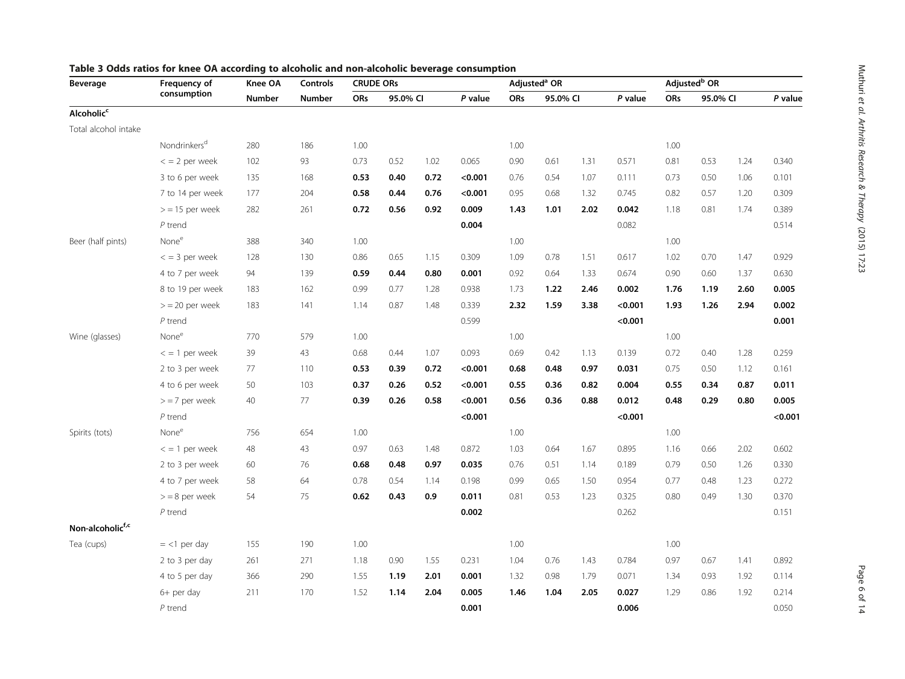| <b>Beverage</b>        | Frequency of             | Knee OA       |        | <b>CRUDE ORs</b> |          |      |           |      | Adjusted <sup>a</sup> OR |      |           | Adjusted <sup>b</sup> OR |          |      |         |
|------------------------|--------------------------|---------------|--------|------------------|----------|------|-----------|------|--------------------------|------|-----------|--------------------------|----------|------|---------|
|                        | consumption              | <b>Number</b> | Number | ORs              | 95.0% CI |      | $P$ value | ORs  | 95.0% CI                 |      | $P$ value | ORs                      | 95.0% CI |      | P value |
| Alcoholic <sup>c</sup> |                          |               |        |                  |          |      |           |      |                          |      |           |                          |          |      |         |
| Total alcohol intake   |                          |               |        |                  |          |      |           |      |                          |      |           |                          |          |      |         |
|                        | Nondrinkers <sup>d</sup> | 280           | 186    | 1.00             |          |      |           | 1.00 |                          |      |           | 1.00                     |          |      |         |
|                        | $<$ = 2 per week         | 102           | 93     | 0.73             | 0.52     | 1.02 | 0.065     | 0.90 | 0.61                     | 1.31 | 0.571     | 0.81                     | 0.53     | 1.24 | 0.340   |
|                        | 3 to 6 per week          | 135           | 168    | 0.53             | 0.40     | 0.72 | < 0.001   | 0.76 | 0.54                     | 1.07 | 0.111     | 0.73                     | 0.50     | 1.06 | 0.101   |
|                        | 7 to 14 per week         | 177           | 204    | 0.58             | 0.44     | 0.76 | < 0.001   | 0.95 | 0.68                     | 1.32 | 0.745     | 0.82                     | 0.57     | 1.20 | 0.309   |
|                        | $>$ = 15 per week        | 282           | 261    | 0.72             | 0.56     | 0.92 | 0.009     | 1.43 | 1.01                     | 2.02 | 0.042     | 1.18                     | 0.81     | 1.74 | 0.389   |
|                        | $P$ trend                |               |        |                  |          |      | 0.004     |      |                          |      | 0.082     |                          |          |      | 0.514   |
| Beer (half pints)      | None <sup>e</sup>        | 388           | 340    | 1.00             |          |      |           | 1.00 |                          |      |           | 1.00                     |          |      |         |
|                        | $<$ = 3 per week         | 128           | 130    | 0.86             | 0.65     | 1.15 | 0.309     | 1.09 | 0.78                     | 1.51 | 0.617     | 1.02                     | 0.70     | 1.47 | 0.929   |
|                        | 4 to 7 per week          | 94            | 139    | 0.59             | 0.44     | 0.80 | 0.001     | 0.92 | 0.64                     | 1.33 | 0.674     | 0.90                     | 0.60     | 1.37 | 0.630   |
|                        | 8 to 19 per week         | 183           | 162    | 0.99             | 0.77     | 1.28 | 0.938     | 1.73 | 1.22                     | 2.46 | 0.002     | 1.76                     | 1.19     | 2.60 | 0.005   |
|                        | $>$ = 20 per week        | 183           | 141    | 1.14             | 0.87     | 1.48 | 0.339     | 2.32 | 1.59                     | 3.38 | < 0.001   | 1.93                     | 1.26     | 2.94 | 0.002   |
|                        | $P$ trend                |               |        |                  |          |      | 0.599     |      |                          |      | < 0.001   |                          |          |      | 0.001   |
| Wine (glasses)         | None <sup>e</sup>        | 770           | 579    | 1.00             |          |      |           | 1.00 |                          |      |           | 1.00                     |          |      |         |
|                        | $\epsilon$ = 1 per week  | 39            | 43     | 0.68             | 0.44     | 1.07 | 0.093     | 0.69 | 0.42                     | 1.13 | 0.139     | 0.72                     | 0.40     | 1.28 | 0.259   |
|                        | 2 to 3 per week          | 77            | 110    | 0.53             | 0.39     | 0.72 | < 0.001   | 0.68 | 0.48                     | 0.97 | 0.031     | 0.75                     | 0.50     | 1.12 | 0.161   |
|                        | 4 to 6 per week          | 50            | 103    | 0.37             | 0.26     | 0.52 | < 0.001   | 0.55 | 0.36                     | 0.82 | 0.004     | 0.55                     | 0.34     | 0.87 | 0.011   |
|                        | $>$ = 7 per week         | 40            | 77     | 0.39             | 0.26     | 0.58 | < 0.001   | 0.56 | 0.36                     | 0.88 | 0.012     | 0.48                     | 0.29     | 0.80 | 0.005   |
|                        | $P$ trend                |               |        |                  |          |      | < 0.001   |      |                          |      | < 0.001   |                          |          |      | < 0.001 |
| Spirits (tots)         | None <sup>e</sup>        | 756           | 654    | 1.00             |          |      |           | 1.00 |                          |      |           | 1.00                     |          |      |         |
|                        | $<$ = 1 per week         | 48            | 43     | 0.97             | 0.63     | 1.48 | 0.872     | 1.03 | 0.64                     | 1.67 | 0.895     | 1.16                     | 0.66     | 2.02 | 0.602   |
|                        | 2 to 3 per week          | 60            | $76\,$ | 0.68             | 0.48     | 0.97 | 0.035     | 0.76 | 0.51                     | 1.14 | 0.189     | 0.79                     | 0.50     | 1.26 | 0.330   |
|                        | 4 to 7 per week          | 58            | 64     | 0.78             | 0.54     | 1.14 | 0.198     | 0.99 | 0.65                     | 1.50 | 0.954     | 0.77                     | 0.48     | 1.23 | 0.272   |
|                        | $>$ = 8 per week         | 54            | 75     | 0.62             | 0.43     | 0.9  | 0.011     | 0.81 | 0.53                     | 1.23 | 0.325     | 0.80                     | 0.49     | 1.30 | 0.370   |
|                        | $P$ trend                |               |        |                  |          |      | 0.002     |      |                          |      | 0.262     |                          |          |      | 0.151   |
| Non-alcoholicf,c       |                          |               |        |                  |          |      |           |      |                          |      |           |                          |          |      |         |
| Tea (cups)             | $=$ <1 per day           | 155           | 190    | 1.00             |          |      |           | 1.00 |                          |      |           | 1.00                     |          |      |         |
|                        | 2 to 3 per day           | 261           | 271    | 1.18             | 0.90     | 1.55 | 0.231     | 1.04 | 0.76                     | 1.43 | 0.784     | 0.97                     | 0.67     | 1.41 | 0.892   |
|                        | 4 to 5 per day           | 366           | 290    | 1.55             | 1.19     | 2.01 | 0.001     | 1.32 | 0.98                     | 1.79 | 0.071     | 1.34                     | 0.93     | 1.92 | 0.114   |
|                        | 6+ per day               | 211           | 170    | 1.52             | 1.14     | 2.04 | 0.005     | 1.46 | 1.04                     | 2.05 | 0.027     | 1.29                     | 0.86     | 1.92 | 0.214   |
|                        | $P$ trend                |               |        |                  |          |      | 0.001     |      |                          |      | 0.006     |                          |          |      | 0.050   |

<span id="page-5-0"></span>Table 3 Odds ratios for knee OA according to alcoholic and non-alcoholic beverage consumption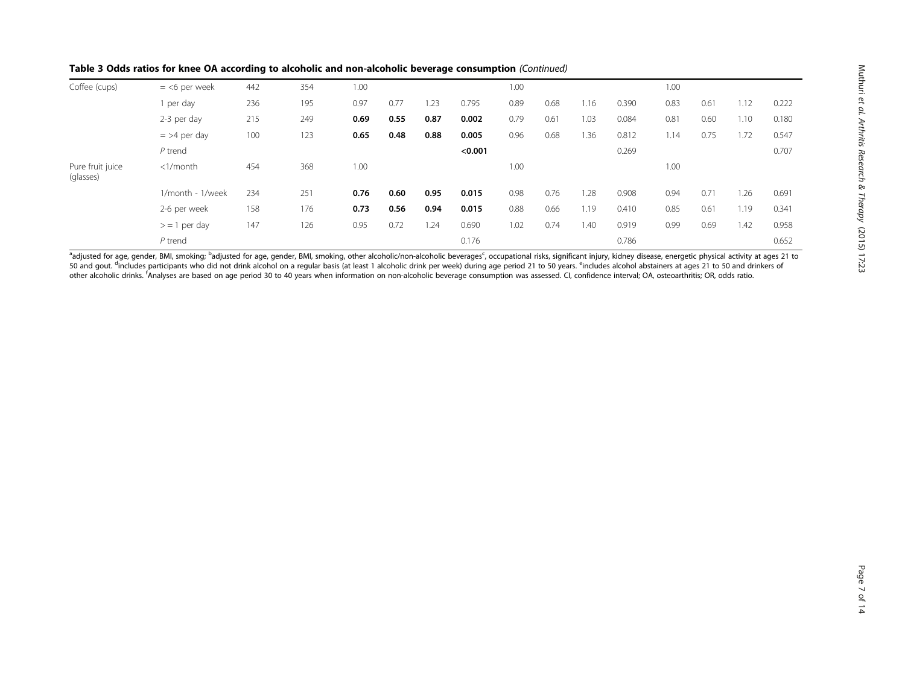| Table 3 Odds ratios for knee OA according to alcoholic and non-alcoholic beverage consumption (Continued) |  |
|-----------------------------------------------------------------------------------------------------------|--|
|-----------------------------------------------------------------------------------------------------------|--|

| Coffee (cups)                 | $=$ <6 per week  | 442 | 354 | 1.00 |      |      |         | 1.00 |      |      |       | 1.00 |      |      |       |
|-------------------------------|------------------|-----|-----|------|------|------|---------|------|------|------|-------|------|------|------|-------|
|                               | per day          | 236 | 195 | 0.97 | 0.77 | .23  | 0.795   | 0.89 | 0.68 | 1.16 | 0.390 | 0.83 | 0.61 |      | 0.222 |
|                               | 2-3 per day      | 215 | 249 | 0.69 | 0.55 | 0.87 | 0.002   | 0.79 | 0.61 | 1.03 | 0.084 | 0.81 | 0.60 | 1.10 | 0.180 |
|                               | $=$ >4 per day   | 100 | 123 | 0.65 | 0.48 | 0.88 | 0.005   | 0.96 | 0.68 | 1.36 | 0.812 | 1.14 | 0.75 | 1.72 | 0.547 |
|                               | $P$ trend        |     |     |      |      |      | < 0.001 |      |      |      | 0.269 |      |      |      | 0.707 |
| Pure fruit juice<br>(glasses) | $<$ 1/month      | 454 | 368 | 1.00 |      |      |         | 1.00 |      |      |       | 1.00 |      |      |       |
|                               | 1/month - 1/week | 234 | 251 | 0.76 | 0.60 | 0.95 | 0.015   | 0.98 | 0.76 | 1.28 | 0.908 | 0.94 | 0.71 | .26  | 0.691 |
|                               | 2-6 per week     | 158 | 176 | 0.73 | 0.56 | 0.94 | 0.015   | 0.88 | 0.66 | 1.19 | 0.410 | 0.85 | 0.61 | 1.19 | 0.341 |
|                               | $>$ = 1 per day  | 147 | 126 | 0.95 | 0.72 | 1.24 | 0.690   | 1.02 | 0.74 | 1.40 | 0.919 | 0.99 | 0.69 | 1.42 | 0.958 |
|                               | $P$ trend        |     |     |      |      |      | 0.176   |      |      |      | 0.786 |      |      |      | 0.652 |

ªadjusted for age, gender, BMI, smoking; <sup>b</sup>adjusted for age, gender, BMI, smoking, other alcoholic/non-alcoholic beverages<sup>c</sup>, occupational risks, significant injury, kidney disease, energetic physical activity at ages 21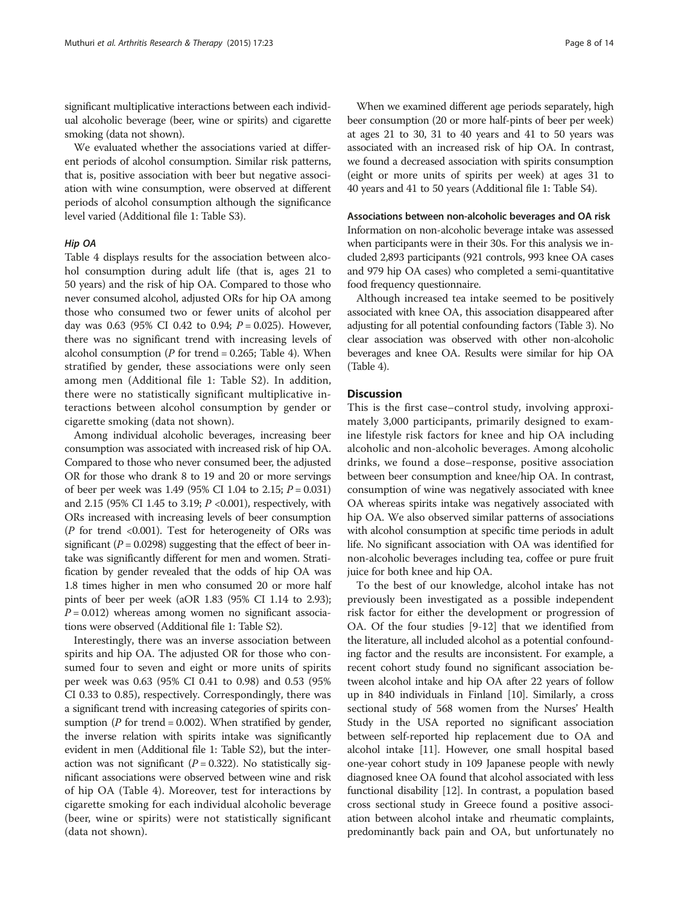significant multiplicative interactions between each individual alcoholic beverage (beer, wine or spirits) and cigarette smoking (data not shown).

We evaluated whether the associations varied at different periods of alcohol consumption. Similar risk patterns, that is, positive association with beer but negative association with wine consumption, were observed at different periods of alcohol consumption although the significance level varied (Additional file [1:](#page-12-0) Table S3).

#### Hip OA

Table [4](#page-8-0) displays results for the association between alcohol consumption during adult life (that is, ages 21 to 50 years) and the risk of hip OA. Compared to those who never consumed alcohol, adjusted ORs for hip OA among those who consumed two or fewer units of alcohol per day was 0.63 (95% CI 0.42 to 0.94;  $P = 0.025$ ). However, there was no significant trend with increasing levels of alcohol consumption ( $P$  for trend = 0.265; Table [4](#page-8-0)). When stratified by gender, these associations were only seen among men (Additional file [1:](#page-12-0) Table S2). In addition, there were no statistically significant multiplicative interactions between alcohol consumption by gender or cigarette smoking (data not shown).

Among individual alcoholic beverages, increasing beer consumption was associated with increased risk of hip OA. Compared to those who never consumed beer, the adjusted OR for those who drank 8 to 19 and 20 or more servings of beer per week was 1.49 (95% CI 1.04 to 2.15;  $P = 0.031$ ) and 2.15 (95% CI 1.45 to 3.19; P <0.001), respectively, with ORs increased with increasing levels of beer consumption ( $P$  for trend <0.001). Test for heterogeneity of ORs was significant ( $P = 0.0298$ ) suggesting that the effect of beer intake was significantly different for men and women. Stratification by gender revealed that the odds of hip OA was 1.8 times higher in men who consumed 20 or more half pints of beer per week (aOR 1.83 (95% CI 1.14 to 2.93);  $P = 0.012$ ) whereas among women no significant associations were observed (Additional file [1](#page-12-0): Table S2).

Interestingly, there was an inverse association between spirits and hip OA. The adjusted OR for those who consumed four to seven and eight or more units of spirits per week was 0.63 (95% CI 0.41 to 0.98) and 0.53 (95% CI 0.33 to 0.85), respectively. Correspondingly, there was a significant trend with increasing categories of spirits consumption ( $P$  for trend = 0.002). When stratified by gender, the inverse relation with spirits intake was significantly evident in men (Additional file [1:](#page-12-0) Table S2), but the interaction was not significant ( $P = 0.322$ ). No statistically significant associations were observed between wine and risk of hip OA (Table [4\)](#page-8-0). Moreover, test for interactions by cigarette smoking for each individual alcoholic beverage (beer, wine or spirits) were not statistically significant (data not shown).

When we examined different age periods separately, high beer consumption (20 or more half-pints of beer per week) at ages 21 to 30, 31 to 40 years and 41 to 50 years was associated with an increased risk of hip OA. In contrast, we found a decreased association with spirits consumption (eight or more units of spirits per week) at ages 31 to 40 years and 41 to 50 years (Additional file [1:](#page-12-0) Table S4).

#### Associations between non-alcoholic beverages and OA risk

Information on non-alcoholic beverage intake was assessed when participants were in their 30s. For this analysis we included 2,893 participants (921 controls, 993 knee OA cases and 979 hip OA cases) who completed a semi-quantitative food frequency questionnaire.

Although increased tea intake seemed to be positively associated with knee OA, this association disappeared after adjusting for all potential confounding factors (Table [3](#page-5-0)). No clear association was observed with other non-alcoholic beverages and knee OA. Results were similar for hip OA (Table [4](#page-8-0)).

#### **Discussion**

This is the first case–control study, involving approximately 3,000 participants, primarily designed to examine lifestyle risk factors for knee and hip OA including alcoholic and non-alcoholic beverages. Among alcoholic drinks, we found a dose–response, positive association between beer consumption and knee/hip OA. In contrast, consumption of wine was negatively associated with knee OA whereas spirits intake was negatively associated with hip OA. We also observed similar patterns of associations with alcohol consumption at specific time periods in adult life. No significant association with OA was identified for non-alcoholic beverages including tea, coffee or pure fruit juice for both knee and hip OA.

To the best of our knowledge, alcohol intake has not previously been investigated as a possible independent risk factor for either the development or progression of OA. Of the four studies [[9-12\]](#page-12-0) that we identified from the literature, all included alcohol as a potential confounding factor and the results are inconsistent. For example, a recent cohort study found no significant association between alcohol intake and hip OA after 22 years of follow up in 840 individuals in Finland [\[10](#page-12-0)]. Similarly, a cross sectional study of 568 women from the Nurses' Health Study in the USA reported no significant association between self-reported hip replacement due to OA and alcohol intake [\[11\]](#page-12-0). However, one small hospital based one-year cohort study in 109 Japanese people with newly diagnosed knee OA found that alcohol associated with less functional disability [\[12\]](#page-12-0). In contrast, a population based cross sectional study in Greece found a positive association between alcohol intake and rheumatic complaints, predominantly back pain and OA, but unfortunately no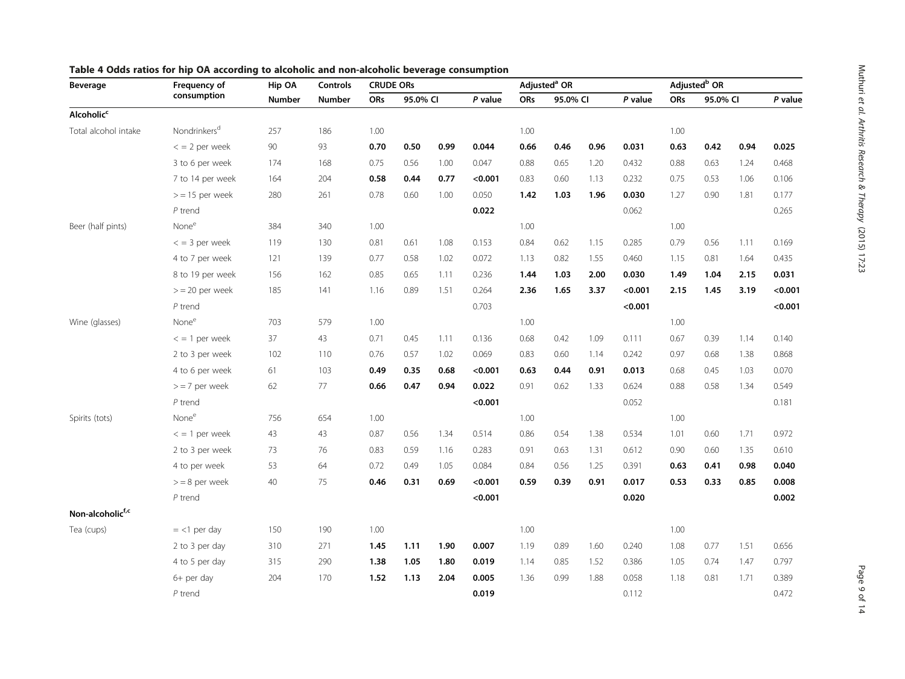| <b>Beverage</b>              | Frequency of             | Hip OA        | Controls      | <b>CRUDE ORs</b> |          |      |         |            | Adjusted <sup>a</sup> OR |      |         | Adjusted <sup>b</sup> OR |          |      |           |
|------------------------------|--------------------------|---------------|---------------|------------------|----------|------|---------|------------|--------------------------|------|---------|--------------------------|----------|------|-----------|
|                              | consumption              | <b>Number</b> | <b>Number</b> | <b>ORs</b>       | 95.0% CI |      | P value | <b>ORs</b> | 95.0% CI                 |      | P value | <b>ORs</b>               | 95.0% CI |      | $P$ value |
| <b>Alcoholic<sup>c</sup></b> |                          |               |               |                  |          |      |         |            |                          |      |         |                          |          |      |           |
| Total alcohol intake         | Nondrinkers <sup>d</sup> | 257           | 186           | 1.00             |          |      |         | 1.00       |                          |      |         | 1.00                     |          |      |           |
|                              | $<$ = 2 per week         | 90            | 93            | 0.70             | 0.50     | 0.99 | 0.044   | 0.66       | 0.46                     | 0.96 | 0.031   | 0.63                     | 0.42     | 0.94 | 0.025     |
|                              | 3 to 6 per week          | 174           | 168           | 0.75             | 0.56     | 1.00 | 0.047   | 0.88       | 0.65                     | 1.20 | 0.432   | 0.88                     | 0.63     | 1.24 | 0.468     |
|                              | 7 to 14 per week         | 164           | 204           | 0.58             | 0.44     | 0.77 | < 0.001 | 0.83       | 0.60                     | 1.13 | 0.232   | 0.75                     | 0.53     | 1.06 | 0.106     |
|                              | $>$ = 15 per week        | 280           | 261           | 0.78             | 0.60     | 1.00 | 0.050   | 1.42       | 1.03                     | 1.96 | 0.030   | 1.27                     | 0.90     | 1.81 | 0.177     |
|                              | $P$ trend                |               |               |                  |          |      | 0.022   |            |                          |      | 0.062   |                          |          |      | 0.265     |
| Beer (half pints)            | None <sup>e</sup>        | 384           | 340           | 1.00             |          |      |         | 1.00       |                          |      |         | 1.00                     |          |      |           |
|                              | $<$ = 3 per week         | 119           | 130           | 0.81             | 0.61     | 1.08 | 0.153   | 0.84       | 0.62                     | 1.15 | 0.285   | 0.79                     | 0.56     | 1.11 | 0.169     |
|                              | 4 to 7 per week          | 121           | 139           | 0.77             | 0.58     | 1.02 | 0.072   | 1.13       | 0.82                     | 1.55 | 0.460   | 1.15                     | 0.81     | 1.64 | 0.435     |
|                              | 8 to 19 per week         | 156           | 162           | 0.85             | 0.65     | 1.11 | 0.236   | 1.44       | 1.03                     | 2.00 | 0.030   | 1.49                     | 1.04     | 2.15 | 0.031     |
|                              | $>$ = 20 per week        | 185           | 141           | 1.16             | 0.89     | 1.51 | 0.264   | 2.36       | 1.65                     | 3.37 | < 0.001 | 2.15                     | 1.45     | 3.19 | < 0.001   |
|                              | P trend                  |               |               |                  |          |      | 0.703   |            |                          |      | < 0.001 |                          |          |      | < 0.001   |
| Wine (glasses)               | None <sup>e</sup>        | 703           | 579           | 1.00             |          |      |         | 1.00       |                          |      |         | 1.00                     |          |      |           |
|                              | $<$ = 1 per week         | 37            | 43            | 0.71             | 0.45     | 1.11 | 0.136   | 0.68       | 0.42                     | 1.09 | 0.111   | 0.67                     | 0.39     | 1.14 | 0.140     |
|                              | 2 to 3 per week          | 102           | 110           | 0.76             | 0.57     | 1.02 | 0.069   | 0.83       | 0.60                     | 1.14 | 0.242   | 0.97                     | 0.68     | 1.38 | 0.868     |
|                              | 4 to 6 per week          | 61            | 103           | 0.49             | 0.35     | 0.68 | < 0.001 | 0.63       | 0.44                     | 0.91 | 0.013   | 0.68                     | 0.45     | 1.03 | 0.070     |
|                              | $>$ = 7 per week         | 62            | 77            | 0.66             | 0.47     | 0.94 | 0.022   | 0.91       | 0.62                     | 1.33 | 0.624   | 0.88                     | 0.58     | 1.34 | 0.549     |
|                              | $P$ trend                |               |               |                  |          |      | < 0.001 |            |                          |      | 0.052   |                          |          |      | 0.181     |
| Spirits (tots)               | None <sup>e</sup>        | 756           | 654           | 1.00             |          |      |         | 1.00       |                          |      |         | 1.00                     |          |      |           |
|                              | $<$ = 1 per week         | 43            | 43            | 0.87             | 0.56     | 1.34 | 0.514   | 0.86       | 0.54                     | 1.38 | 0.534   | 1.01                     | 0.60     | 1.71 | 0.972     |
|                              | 2 to 3 per week          | 73            | 76            | 0.83             | 0.59     | 1.16 | 0.283   | 0.91       | 0.63                     | 1.31 | 0.612   | 0.90                     | 0.60     | 1.35 | 0.610     |
|                              | 4 to per week            | 53            | 64            | 0.72             | 0.49     | 1.05 | 0.084   | 0.84       | 0.56                     | 1.25 | 0.391   | 0.63                     | 0.41     | 0.98 | 0.040     |
|                              | $>= 8$ per week          | 40            | 75            | 0.46             | 0.31     | 0.69 | < 0.001 | 0.59       | 0.39                     | 0.91 | 0.017   | 0.53                     | 0.33     | 0.85 | 0.008     |
|                              | $P$ trend                |               |               |                  |          |      | < 0.001 |            |                          |      | 0.020   |                          |          |      | 0.002     |
| Non-alcoholicf,c             |                          |               |               |                  |          |      |         |            |                          |      |         |                          |          |      |           |
| Tea (cups)                   | $=$ <1 per day           | 150           | 190           | 1.00             |          |      |         | 1.00       |                          |      |         | 1.00                     |          |      |           |
|                              | 2 to 3 per day           | 310           | 271           | 1.45             | 1.11     | 1.90 | 0.007   | 1.19       | 0.89                     | 1.60 | 0.240   | 1.08                     | 0.77     | 1.51 | 0.656     |
|                              | 4 to 5 per day           | 315           | 290           | 1.38             | 1.05     | 1.80 | 0.019   | 1.14       | 0.85                     | 1.52 | 0.386   | 1.05                     | 0.74     | 1.47 | 0.797     |
|                              | 6+ per day               | 204           | 170           | 1.52             | 1.13     | 2.04 | 0.005   | 1.36       | 0.99                     | 1.88 | 0.058   | 1.18                     | 0.81     | 1.71 | 0.389     |
|                              | $P$ trend                |               |               |                  |          |      | 0.019   |            |                          |      | 0.112   |                          |          |      | 0.472     |

<span id="page-8-0"></span>Table 4 Odds ratios for hip OA according to alcoholic and non-alcoholic beverage consumption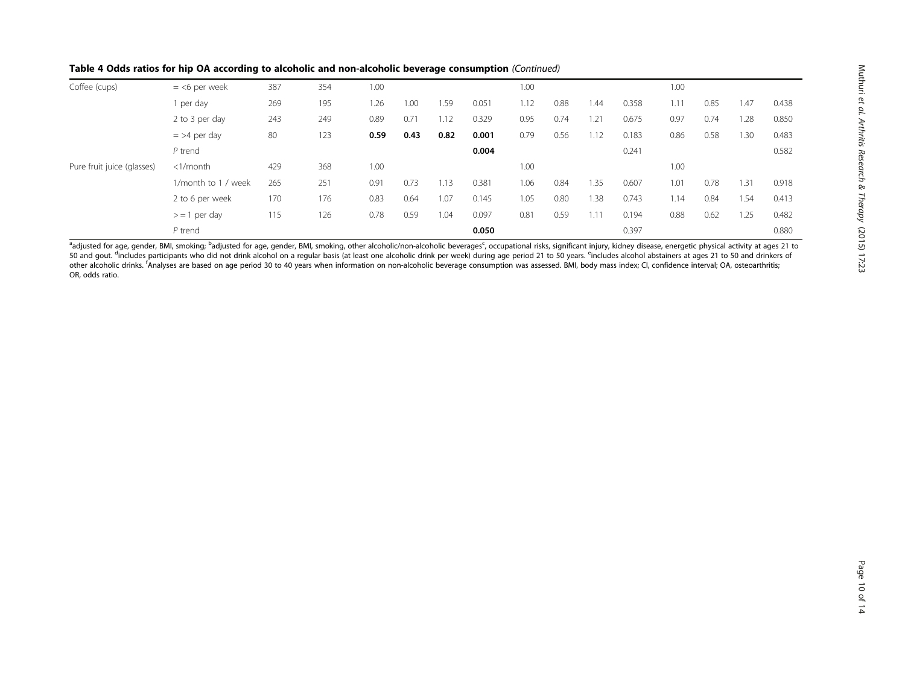| Table 4 Odds ratios for hip OA according to alcoholic and non-alcoholic beverage consumption (Continued) |  |
|----------------------------------------------------------------------------------------------------------|--|
|----------------------------------------------------------------------------------------------------------|--|

| Coffee (cups)              | $=$ <6 per week     | 387 | 354 | 1.00 |      |      |       | 1.00 |      |      |       | 1.00 |      |                  |       |
|----------------------------|---------------------|-----|-----|------|------|------|-------|------|------|------|-------|------|------|------------------|-------|
|                            | per day             | 269 | 195 | 1.26 | 00.1 | 1.59 | 0.051 | 1.12 | 0.88 | 1.44 | 0.358 | 1.11 | 0.85 | 1.47             | 0.438 |
|                            | 2 to 3 per day      | 243 | 249 | 0.89 | 0.71 | 1.12 | 0.329 | 0.95 | 0.74 | .21  | 0.675 | 0.97 | 0.74 | .28              | 0.850 |
|                            | $=$ >4 per day      | 80  | 123 | 0.59 | 0.43 | 0.82 | 0.001 | 0.79 | 0.56 | .12  | 0.183 | 0.86 | 0.58 | .30 <sub>1</sub> | 0.483 |
|                            | $P$ trend           |     |     |      |      |      | 0.004 |      |      |      | 0.241 |      |      |                  | 0.582 |
| Pure fruit juice (glasses) | $<$ 1/month         | 429 | 368 | 1.00 |      |      |       | 1.00 |      |      |       | 1.00 |      |                  |       |
|                            | 1/month to 1 / week | 265 | 251 | 0.91 | 0.73 | 1.13 | 0.381 | 1.06 | 0.84 | .35  | 0.607 | 1.01 | 0.78 | 1.31             | 0.918 |
|                            | 2 to 6 per week     | 170 | 176 | 0.83 | 0.64 | 1.07 | 0.145 | 1.05 | 0.80 | .38  | 0.743 | 1.14 | 0.84 | i.54             | 0.413 |
|                            | $>$ = 1 per day     | 115 | 126 | 0.78 | 0.59 | 1.04 | 0.097 | 0.81 | 0.59 | 1.11 | 0.194 | 0.88 | 0.62 | 1.25             | 0.482 |
|                            | $P$ trend           |     |     |      |      |      | 0.050 |      |      |      | 0.397 |      |      |                  | 0.880 |

<sup>a</sup>adjusted for age, gender, BMI, smoking; <sup>b</sup>adjusted for age, gender, BMI, smoking, other alcoholic/non-alcoholic beverages<sup>c</sup>, occupational risks, significant injury, kidney disease, energetic physical activity at ages 50 and gout. <sup>d</sup>includes participants who did not drink alcohol on a regular basis (at least one alcoholic drink per week) during age period 21 to 50 years. <sup>e</sup>includes alcohol abstainers at ages 21 to 50 and drinkers of other alcoholic drinks. <sup>f</sup>Analyses are based on age period 30 to 40 years when information on non-alcoholic beverage consumption was assessed. BMI, body mass index; CI, confidence interval; OA, osteoarthritis; OR, odds ratio.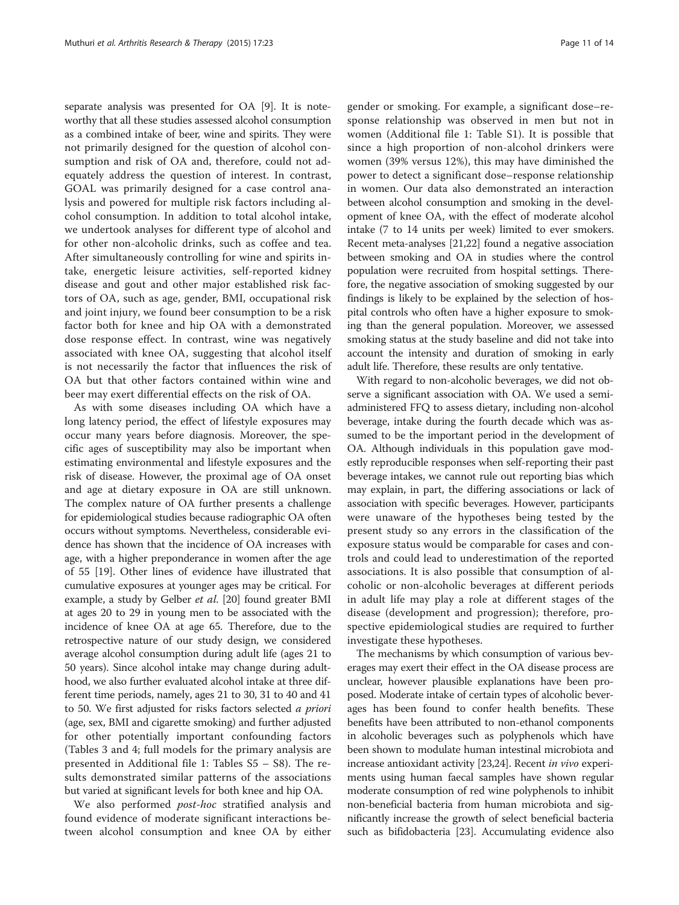separate analysis was presented for OA [\[9](#page-12-0)]. It is noteworthy that all these studies assessed alcohol consumption as a combined intake of beer, wine and spirits. They were not primarily designed for the question of alcohol consumption and risk of OA and, therefore, could not adequately address the question of interest. In contrast, GOAL was primarily designed for a case control analysis and powered for multiple risk factors including alcohol consumption. In addition to total alcohol intake, we undertook analyses for different type of alcohol and for other non-alcoholic drinks, such as coffee and tea. After simultaneously controlling for wine and spirits intake, energetic leisure activities, self-reported kidney disease and gout and other major established risk factors of OA, such as age, gender, BMI, occupational risk and joint injury, we found beer consumption to be a risk factor both for knee and hip OA with a demonstrated dose response effect. In contrast, wine was negatively associated with knee OA, suggesting that alcohol itself is not necessarily the factor that influences the risk of OA but that other factors contained within wine and beer may exert differential effects on the risk of OA.

As with some diseases including OA which have a long latency period, the effect of lifestyle exposures may occur many years before diagnosis. Moreover, the specific ages of susceptibility may also be important when estimating environmental and lifestyle exposures and the risk of disease. However, the proximal age of OA onset and age at dietary exposure in OA are still unknown. The complex nature of OA further presents a challenge for epidemiological studies because radiographic OA often occurs without symptoms. Nevertheless, considerable evidence has shown that the incidence of OA increases with age, with a higher preponderance in women after the age of 55 [\[19\]](#page-12-0). Other lines of evidence have illustrated that cumulative exposures at younger ages may be critical. For example, a study by Gelber *et al.* [\[20\]](#page-12-0) found greater BMI at ages 20 to 29 in young men to be associated with the incidence of knee OA at age 65. Therefore, due to the retrospective nature of our study design, we considered average alcohol consumption during adult life (ages 21 to 50 years). Since alcohol intake may change during adulthood, we also further evaluated alcohol intake at three different time periods, namely, ages 21 to 30, 31 to 40 and 41 to 50. We first adjusted for risks factors selected a priori (age, sex, BMI and cigarette smoking) and further adjusted for other potentially important confounding factors (Tables [3](#page-5-0) and [4;](#page-8-0) full models for the primary analysis are presented in Additional file [1](#page-12-0): Tables S5 – S8). The results demonstrated similar patterns of the associations but varied at significant levels for both knee and hip OA.

We also performed *post-hoc* stratified analysis and found evidence of moderate significant interactions between alcohol consumption and knee OA by either

gender or smoking. For example, a significant dose–response relationship was observed in men but not in women (Additional file [1:](#page-12-0) Table S1). It is possible that since a high proportion of non-alcohol drinkers were women (39% versus 12%), this may have diminished the power to detect a significant dose–response relationship in women. Our data also demonstrated an interaction between alcohol consumption and smoking in the development of knee OA, with the effect of moderate alcohol intake (7 to 14 units per week) limited to ever smokers. Recent meta-analyses [\[21,22](#page-12-0)] found a negative association between smoking and OA in studies where the control population were recruited from hospital settings. Therefore, the negative association of smoking suggested by our findings is likely to be explained by the selection of hospital controls who often have a higher exposure to smoking than the general population. Moreover, we assessed smoking status at the study baseline and did not take into account the intensity and duration of smoking in early adult life. Therefore, these results are only tentative.

With regard to non-alcoholic beverages, we did not observe a significant association with OA. We used a semiadministered FFQ to assess dietary, including non-alcohol beverage, intake during the fourth decade which was assumed to be the important period in the development of OA. Although individuals in this population gave modestly reproducible responses when self-reporting their past beverage intakes, we cannot rule out reporting bias which may explain, in part, the differing associations or lack of association with specific beverages. However, participants were unaware of the hypotheses being tested by the present study so any errors in the classification of the exposure status would be comparable for cases and controls and could lead to underestimation of the reported associations. It is also possible that consumption of alcoholic or non-alcoholic beverages at different periods in adult life may play a role at different stages of the disease (development and progression); therefore, prospective epidemiological studies are required to further investigate these hypotheses.

The mechanisms by which consumption of various beverages may exert their effect in the OA disease process are unclear, however plausible explanations have been proposed. Moderate intake of certain types of alcoholic beverages has been found to confer health benefits. These benefits have been attributed to non-ethanol components in alcoholic beverages such as polyphenols which have been shown to modulate human intestinal microbiota and increase antioxidant activity [\[23,24](#page-12-0)]. Recent in vivo experiments using human faecal samples have shown regular moderate consumption of red wine polyphenols to inhibit non-beneficial bacteria from human microbiota and significantly increase the growth of select beneficial bacteria such as bifidobacteria [\[23\]](#page-12-0). Accumulating evidence also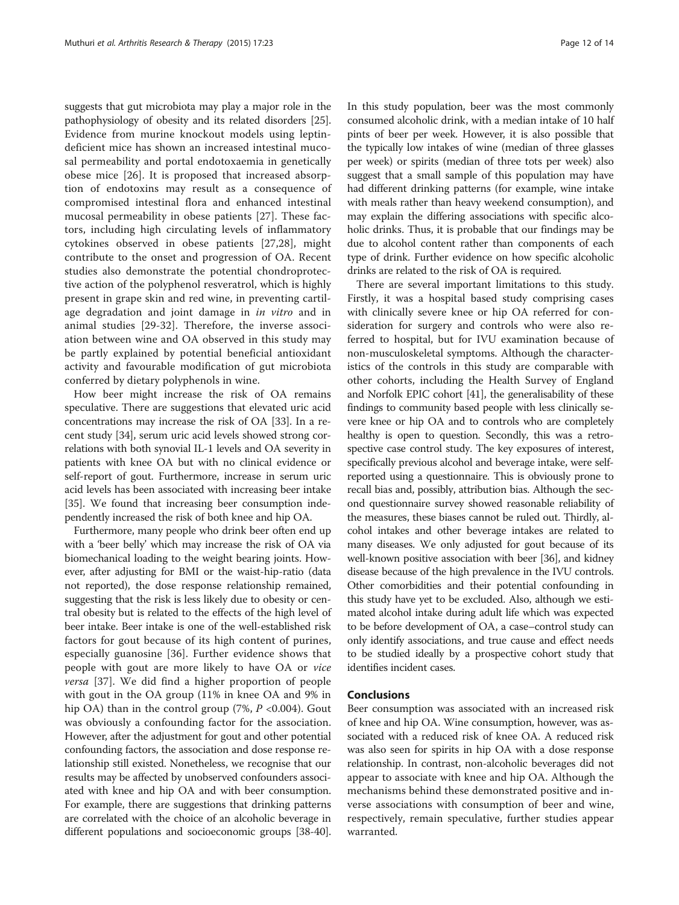suggests that gut microbiota may play a major role in the pathophysiology of obesity and its related disorders [[25](#page-12-0)]. Evidence from murine knockout models using leptindeficient mice has shown an increased intestinal mucosal permeability and portal endotoxaemia in genetically obese mice [\[26](#page-12-0)]. It is proposed that increased absorption of endotoxins may result as a consequence of compromised intestinal flora and enhanced intestinal mucosal permeability in obese patients [[27\]](#page-12-0). These factors, including high circulating levels of inflammatory cytokines observed in obese patients [\[27,28](#page-12-0)], might contribute to the onset and progression of OA. Recent studies also demonstrate the potential chondroprotective action of the polyphenol resveratrol, which is highly present in grape skin and red wine, in preventing cartilage degradation and joint damage in in vitro and in animal studies [[29-32\]](#page-13-0). Therefore, the inverse association between wine and OA observed in this study may be partly explained by potential beneficial antioxidant activity and favourable modification of gut microbiota conferred by dietary polyphenols in wine.

How beer might increase the risk of OA remains speculative. There are suggestions that elevated uric acid concentrations may increase the risk of OA [\[33\]](#page-13-0). In a recent study [\[34](#page-13-0)], serum uric acid levels showed strong correlations with both synovial IL-1 levels and OA severity in patients with knee OA but with no clinical evidence or self-report of gout. Furthermore, increase in serum uric acid levels has been associated with increasing beer intake [[35](#page-13-0)]. We found that increasing beer consumption independently increased the risk of both knee and hip OA.

Furthermore, many people who drink beer often end up with a 'beer belly' which may increase the risk of OA via biomechanical loading to the weight bearing joints. However, after adjusting for BMI or the waist-hip-ratio (data not reported), the dose response relationship remained, suggesting that the risk is less likely due to obesity or central obesity but is related to the effects of the high level of beer intake. Beer intake is one of the well-established risk factors for gout because of its high content of purines, especially guanosine [[36\]](#page-13-0). Further evidence shows that people with gout are more likely to have OA or vice versa [[37\]](#page-13-0). We did find a higher proportion of people with gout in the OA group (11% in knee OA and 9% in hip OA) than in the control group  $(7\%, P \lt 0.004)$ . Gout was obviously a confounding factor for the association. However, after the adjustment for gout and other potential confounding factors, the association and dose response relationship still existed. Nonetheless, we recognise that our results may be affected by unobserved confounders associated with knee and hip OA and with beer consumption. For example, there are suggestions that drinking patterns are correlated with the choice of an alcoholic beverage in different populations and socioeconomic groups [[38](#page-13-0)-[40](#page-13-0)].

In this study population, beer was the most commonly consumed alcoholic drink, with a median intake of 10 half pints of beer per week. However, it is also possible that the typically low intakes of wine (median of three glasses per week) or spirits (median of three tots per week) also suggest that a small sample of this population may have had different drinking patterns (for example, wine intake with meals rather than heavy weekend consumption), and may explain the differing associations with specific alcoholic drinks. Thus, it is probable that our findings may be due to alcohol content rather than components of each type of drink. Further evidence on how specific alcoholic drinks are related to the risk of OA is required.

There are several important limitations to this study. Firstly, it was a hospital based study comprising cases with clinically severe knee or hip OA referred for consideration for surgery and controls who were also referred to hospital, but for IVU examination because of non-musculoskeletal symptoms. Although the characteristics of the controls in this study are comparable with other cohorts, including the Health Survey of England and Norfolk EPIC cohort [\[41\]](#page-13-0), the generalisability of these findings to community based people with less clinically severe knee or hip OA and to controls who are completely healthy is open to question. Secondly, this was a retrospective case control study. The key exposures of interest, specifically previous alcohol and beverage intake, were selfreported using a questionnaire. This is obviously prone to recall bias and, possibly, attribution bias. Although the second questionnaire survey showed reasonable reliability of the measures, these biases cannot be ruled out. Thirdly, alcohol intakes and other beverage intakes are related to many diseases. We only adjusted for gout because of its well-known positive association with beer [\[36\]](#page-13-0), and kidney disease because of the high prevalence in the IVU controls. Other comorbidities and their potential confounding in this study have yet to be excluded. Also, although we estimated alcohol intake during adult life which was expected to be before development of OA, a case–control study can only identify associations, and true cause and effect needs to be studied ideally by a prospective cohort study that identifies incident cases.

# Conclusions

Beer consumption was associated with an increased risk of knee and hip OA. Wine consumption, however, was associated with a reduced risk of knee OA. A reduced risk was also seen for spirits in hip OA with a dose response relationship. In contrast, non-alcoholic beverages did not appear to associate with knee and hip OA. Although the mechanisms behind these demonstrated positive and inverse associations with consumption of beer and wine, respectively, remain speculative, further studies appear warranted.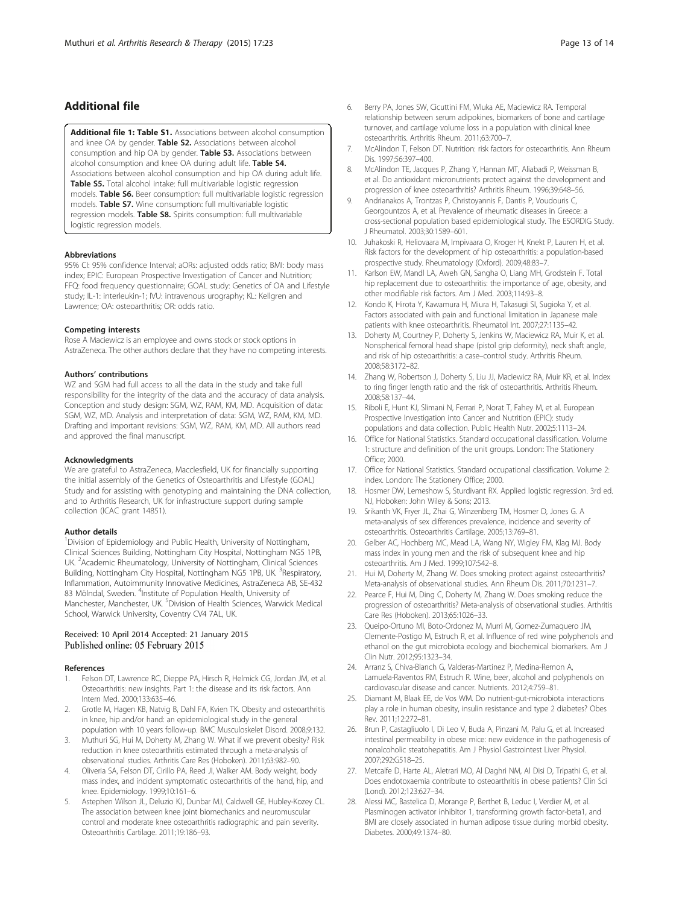# <span id="page-12-0"></span>Additional file

[Additional file 1: Table S1.](http://arthritis-research.com/content/supplementary/s13075-015-0534-4-s1.docx) Associations between alcohol consumption and knee OA by gender. Table S2. Associations between alcohol consumption and hip OA by gender. Table S3. Associations between alcohol consumption and knee OA during adult life. Table S4. Associations between alcohol consumption and hip OA during adult life. Table S5. Total alcohol intake: full multivariable logistic regression models. Table S6. Beer consumption: full multivariable logistic regression models. Table S7. Wine consumption: full multivariable logistic regression models. Table S8. Spirits consumption: full multivariable logistic regression models.

#### Abbreviations

95% CI: 95% confidence Interval; aORs: adjusted odds ratio; BMI: body mass index; EPIC: European Prospective Investigation of Cancer and Nutrition; FFQ: food frequency questionnaire; GOAL study: Genetics of OA and Lifestyle study; IL-1: interleukin-1; IVU: intravenous urography; KL: Kellgren and Lawrence; OA: osteoarthritis; OR: odds ratio.

#### Competing interests

Rose A Maciewicz is an employee and owns stock or stock options in AstraZeneca. The other authors declare that they have no competing interests.

#### Authors' contributions

WZ and SGM had full access to all the data in the study and take full responsibility for the integrity of the data and the accuracy of data analysis. Conception and study design: SGM, WZ, RAM, KM, MD. Acquisition of data: SGM, WZ, MD. Analysis and interpretation of data: SGM, WZ, RAM, KM, MD. Drafting and important revisions: SGM, WZ, RAM, KM, MD. All authors read and approved the final manuscript.

#### **Acknowledaments**

We are grateful to AstraZeneca, Macclesfield, UK for financially supporting the initial assembly of the Genetics of Osteoarthritis and Lifestyle (GOAL) Study and for assisting with genotyping and maintaining the DNA collection, and to Arthritis Research, UK for infrastructure support during sample collection (ICAC grant 14851).

#### Author details

<sup>1</sup> Division of Epidemiology and Public Health, University of Nottingham, Clinical Sciences Building, Nottingham City Hospital, Nottingham NG5 1PB, UK. <sup>2</sup> Academic Rheumatology, University of Nottingham, Clinical Sciences Building, Nottingham City Hospital, Nottingham NG5 1PB, UK. <sup>3</sup>Respiratory, Inflammation, Autoimmunity Innovative Medicines, AstraZeneca AB, SE-432 83 Mölndal, Sweden. <sup>4</sup>Institute of Population Health, University of Manchester, Manchester, UK. <sup>5</sup> Division of Health Sciences, Warwick Medical School, Warwick University, Coventry CV4 7AL, UK.

#### Received: 10 April 2014 Accepted: 21 January 2015 Published online: 05 February 2015

#### References

- 1. Felson DT, Lawrence RC, Dieppe PA, Hirsch R, Helmick CG, Jordan JM, et al. Osteoarthritis: new insights. Part 1: the disease and its risk factors. Ann Intern Med. 2000;133:635–46.
- 2. Grotle M, Hagen KB, Natvig B, Dahl FA, Kvien TK. Obesity and osteoarthritis in knee, hip and/or hand: an epidemiological study in the general population with 10 years follow-up. BMC Musculoskelet Disord. 2008;9:132.
- 3. Muthuri SG, Hui M, Doherty M, Zhang W. What if we prevent obesity? Risk reduction in knee osteoarthritis estimated through a meta-analysis of observational studies. Arthritis Care Res (Hoboken). 2011;63:982–90.
- 4. Oliveria SA, Felson DT, Cirillo PA, Reed JI, Walker AM. Body weight, body mass index, and incident symptomatic osteoarthritis of the hand, hip, and knee. Epidemiology. 1999;10:161–6.
- 5. Astephen Wilson JL, Deluzio KJ, Dunbar MJ, Caldwell GE, Hubley-Kozey CL. The association between knee joint biomechanics and neuromuscular control and moderate knee osteoarthritis radiographic and pain severity. Osteoarthritis Cartilage. 2011;19:186–93.
- 6. Berry PA, Jones SW, Cicuttini FM, Wluka AE, Maciewicz RA. Temporal relationship between serum adipokines, biomarkers of bone and cartilage turnover, and cartilage volume loss in a population with clinical knee osteoarthritis. Arthritis Rheum. 2011;63:700–7.
- 7. McAlindon T, Felson DT. Nutrition: risk factors for osteoarthritis. Ann Rheum Dis. 1997;56:397-400.
- 8. McAlindon TE, Jacques P, Zhang Y, Hannan MT, Aliabadi P, Weissman B, et al. Do antioxidant micronutrients protect against the development and progression of knee osteoarthritis? Arthritis Rheum. 1996;39:648–56.
- 9. Andrianakos A, Trontzas P, Christoyannis F, Dantis P, Voudouris C, Georgountzos A, et al. Prevalence of rheumatic diseases in Greece: a cross-sectional population based epidemiological study. The ESORDIG Study. J Rheumatol. 2003;30:1589–601.
- 10. Juhakoski R, Heliovaara M, Impivaara O, Kroger H, Knekt P, Lauren H, et al. Risk factors for the development of hip osteoarthritis: a population-based prospective study. Rheumatology (Oxford). 2009;48:83–7.
- 11. Karlson EW, Mandl LA, Aweh GN, Sangha O, Liang MH, Grodstein F. Total hip replacement due to osteoarthritis: the importance of age, obesity, and other modifiable risk factors. Am J Med. 2003;114:93–8.
- 12. Kondo K, Hirota Y, Kawamura H, Miura H, Takasugi SI, Sugioka Y, et al. Factors associated with pain and functional limitation in Japanese male patients with knee osteoarthritis. Rheumatol Int. 2007;27:1135–42.
- 13. Doherty M, Courtney P, Doherty S, Jenkins W, Maciewicz RA, Muir K, et al. Nonspherical femoral head shape (pistol grip deformity), neck shaft angle, and risk of hip osteoarthritis: a case–control study. Arthritis Rheum. 2008;58:3172–82.
- 14. Zhang W, Robertson J, Doherty S, Liu JJ, Maciewicz RA, Muir KR, et al. Index to ring finger length ratio and the risk of osteoarthritis. Arthritis Rheum. 2008;58:137–44.
- 15. Riboli E, Hunt KJ, Slimani N, Ferrari P, Norat T, Fahey M, et al. European Prospective Investigation into Cancer and Nutrition (EPIC): study populations and data collection. Public Health Nutr. 2002;5:1113–24.
- 16. Office for National Statistics. Standard occupational classification. Volume 1: structure and definition of the unit groups. London: The Stationery Office; 2000.
- 17. Office for National Statistics. Standard occupational classification. Volume 2: index. London: The Stationery Office; 2000.
- 18. Hosmer DW, Lemeshow S, Sturdivant RX. Applied logistic regression. 3rd ed. NJ, Hoboken: John Wiley & Sons; 2013.
- 19. Srikanth VK, Fryer JL, Zhai G, Winzenberg TM, Hosmer D, Jones G. A meta-analysis of sex differences prevalence, incidence and severity of osteoarthritis. Osteoarthritis Cartilage. 2005;13:769–81.
- 20. Gelber AC, Hochberg MC, Mead LA, Wang NY, Wigley FM, Klag MJ. Body mass index in young men and the risk of subsequent knee and hip osteoarthritis. Am J Med. 1999;107:542–8.
- 21. Hui M, Doherty M, Zhang W. Does smoking protect against osteoarthritis? Meta-analysis of observational studies. Ann Rheum Dis. 2011;70:1231–7.
- 22. Pearce F, Hui M, Ding C, Doherty M, Zhang W. Does smoking reduce the progression of osteoarthritis? Meta-analysis of observational studies. Arthritis Care Res (Hoboken). 2013;65:1026–33.
- 23. Queipo-Ortuno MI, Boto-Ordonez M, Murri M, Gomez-Zumaquero JM, Clemente-Postigo M, Estruch R, et al. Influence of red wine polyphenols and ethanol on the gut microbiota ecology and biochemical biomarkers. Am J Clin Nutr. 2012;95:1323–34.
- 24. Arranz S, Chiva-Blanch G, Valderas-Martinez P, Medina-Remon A, Lamuela-Raventos RM, Estruch R. Wine, beer, alcohol and polyphenols on cardiovascular disease and cancer. Nutrients. 2012;4:759–81.
- 25. Diamant M, Blaak EE, de Vos WM. Do nutrient-gut-microbiota interactions play a role in human obesity, insulin resistance and type 2 diabetes? Obes Rev. 2011;12:272–81.
- 26. Brun P, Castagliuolo I, Di Leo V, Buda A, Pinzani M, Palu G, et al. Increased intestinal permeability in obese mice: new evidence in the pathogenesis of nonalcoholic steatohepatitis. Am J Physiol Gastrointest Liver Physiol. 2007;292:G518–25.
- 27. Metcalfe D, Harte AL, Aletrari MO, Al Daghri NM, Al Disi D, Tripathi G, et al. Does endotoxaemia contribute to osteoarthritis in obese patients? Clin Sci (Lond). 2012;123:627–34.
- 28. Alessi MC, Bastelica D, Morange P, Berthet B, Leduc I, Verdier M, et al. Plasminogen activator inhibitor 1, transforming growth factor-beta1, and BMI are closely associated in human adipose tissue during morbid obesity. Diabetes. 2000;49:1374–80.